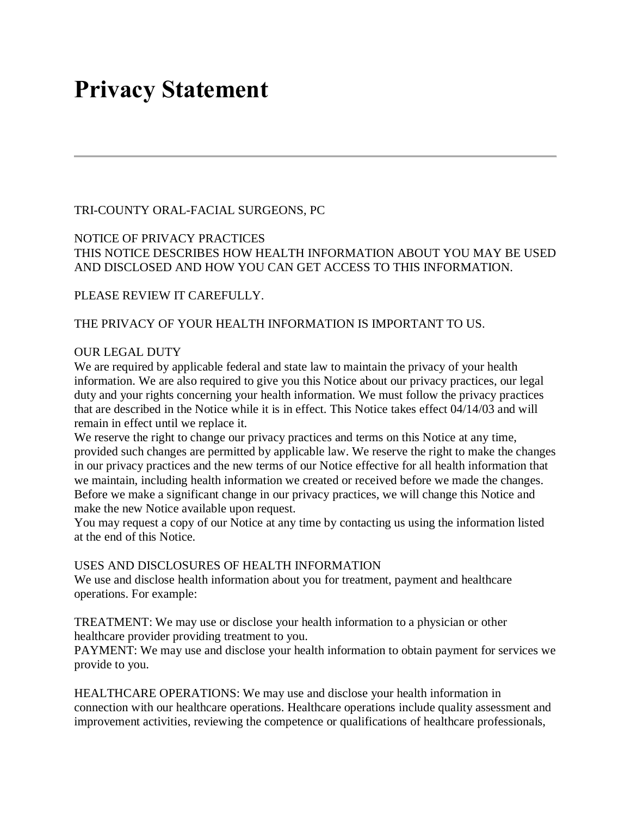# **Privacy Statement**

TRI-COUNTY ORAL-FACIAL SURGEONS, PC

### NOTICE OF PRIVACY PRACTICES THIS NOTICE DESCRIBES HOW HEALTH INFORMATION ABOUT YOU MAY BE USED AND DISCLOSED AND HOW YOU CAN GET ACCESS TO THIS INFORMATION.

PLEASE REVIEW IT CAREFULLY.

## THE PRIVACY OF YOUR HEALTH INFORMATION IS IMPORTANT TO US.

#### OUR LEGAL DUTY

We are required by applicable federal and state law to maintain the privacy of your health information. We are also required to give you this Notice about our privacy practices, our legal duty and your rights concerning your health information. We must follow the privacy practices that are described in the Notice while it is in effect. This Notice takes effect 04/14/03 and will remain in effect until we replace it.

We reserve the right to change our privacy practices and terms on this Notice at any time, provided such changes are permitted by applicable law. We reserve the right to make the changes in our privacy practices and the new terms of our Notice effective for all health information that we maintain, including health information we created or received before we made the changes. Before we make a significant change in our privacy practices, we will change this Notice and make the new Notice available upon request.

You may request a copy of our Notice at any time by contacting us using the information listed at the end of this Notice.

#### USES AND DISCLOSURES OF HEALTH INFORMATION

We use and disclose health information about you for treatment, payment and healthcare operations. For example:

TREATMENT: We may use or disclose your health information to a physician or other healthcare provider providing treatment to you.

PAYMENT: We may use and disclose your health information to obtain payment for services we provide to you.

HEALTHCARE OPERATIONS: We may use and disclose your health information in connection with our healthcare operations. Healthcare operations include quality assessment and improvement activities, reviewing the competence or qualifications of healthcare professionals,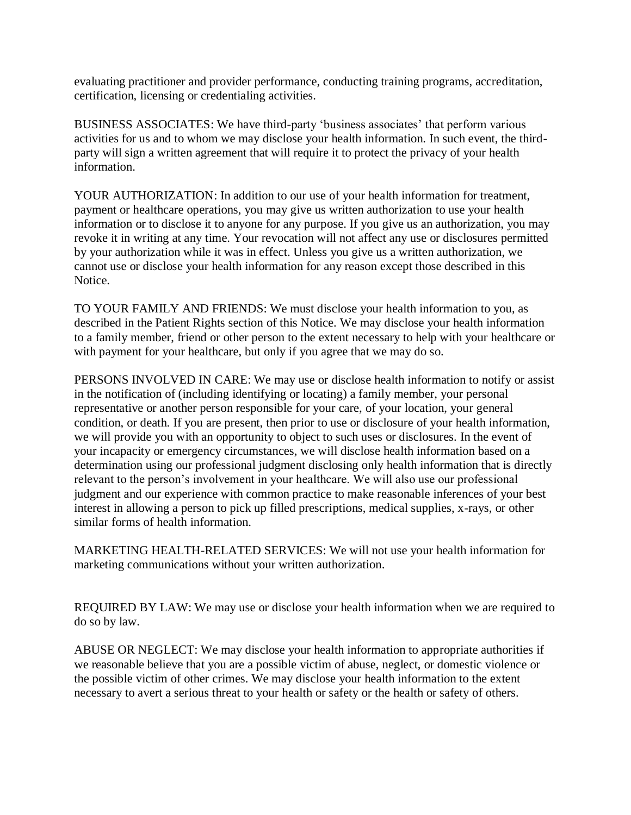evaluating practitioner and provider performance, conducting training programs, accreditation, certification, licensing or credentialing activities.

BUSINESS ASSOCIATES: We have third-party 'business associates' that perform various activities for us and to whom we may disclose your health information. In such event, the thirdparty will sign a written agreement that will require it to protect the privacy of your health information.

YOUR AUTHORIZATION: In addition to our use of your health information for treatment, payment or healthcare operations, you may give us written authorization to use your health information or to disclose it to anyone for any purpose. If you give us an authorization, you may revoke it in writing at any time. Your revocation will not affect any use or disclosures permitted by your authorization while it was in effect. Unless you give us a written authorization, we cannot use or disclose your health information for any reason except those described in this Notice.

TO YOUR FAMILY AND FRIENDS: We must disclose your health information to you, as described in the Patient Rights section of this Notice. We may disclose your health information to a family member, friend or other person to the extent necessary to help with your healthcare or with payment for your healthcare, but only if you agree that we may do so.

PERSONS INVOLVED IN CARE: We may use or disclose health information to notify or assist in the notification of (including identifying or locating) a family member, your personal representative or another person responsible for your care, of your location, your general condition, or death. If you are present, then prior to use or disclosure of your health information, we will provide you with an opportunity to object to such uses or disclosures. In the event of your incapacity or emergency circumstances, we will disclose health information based on a determination using our professional judgment disclosing only health information that is directly relevant to the person's involvement in your healthcare. We will also use our professional judgment and our experience with common practice to make reasonable inferences of your best interest in allowing a person to pick up filled prescriptions, medical supplies, x-rays, or other similar forms of health information.

MARKETING HEALTH-RELATED SERVICES: We will not use your health information for marketing communications without your written authorization.

REQUIRED BY LAW: We may use or disclose your health information when we are required to do so by law.

ABUSE OR NEGLECT: We may disclose your health information to appropriate authorities if we reasonable believe that you are a possible victim of abuse, neglect, or domestic violence or the possible victim of other crimes. We may disclose your health information to the extent necessary to avert a serious threat to your health or safety or the health or safety of others.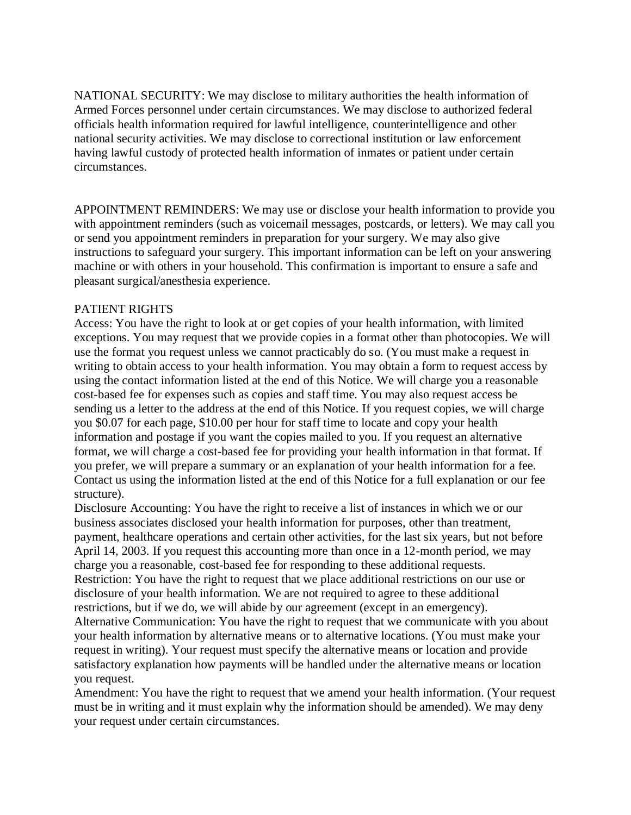NATIONAL SECURITY: We may disclose to military authorities the health information of Armed Forces personnel under certain circumstances. We may disclose to authorized federal officials health information required for lawful intelligence, counterintelligence and other national security activities. We may disclose to correctional institution or law enforcement having lawful custody of protected health information of inmates or patient under certain circumstances.

APPOINTMENT REMINDERS: We may use or disclose your health information to provide you with appointment reminders (such as voicemail messages, postcards, or letters). We may call you or send you appointment reminders in preparation for your surgery. We may also give instructions to safeguard your surgery. This important information can be left on your answering machine or with others in your household. This confirmation is important to ensure a safe and pleasant surgical/anesthesia experience.

#### PATIENT RIGHTS

Access: You have the right to look at or get copies of your health information, with limited exceptions. You may request that we provide copies in a format other than photocopies. We will use the format you request unless we cannot practicably do so. (You must make a request in writing to obtain access to your health information. You may obtain a form to request access by using the contact information listed at the end of this Notice. We will charge you a reasonable cost-based fee for expenses such as copies and staff time. You may also request access be sending us a letter to the address at the end of this Notice. If you request copies, we will charge you \$0.07 for each page, \$10.00 per hour for staff time to locate and copy your health information and postage if you want the copies mailed to you. If you request an alternative format, we will charge a cost-based fee for providing your health information in that format. If you prefer, we will prepare a summary or an explanation of your health information for a fee. Contact us using the information listed at the end of this Notice for a full explanation or our fee structure).

Disclosure Accounting: You have the right to receive a list of instances in which we or our business associates disclosed your health information for purposes, other than treatment, payment, healthcare operations and certain other activities, for the last six years, but not before April 14, 2003. If you request this accounting more than once in a 12-month period, we may charge you a reasonable, cost-based fee for responding to these additional requests. Restriction: You have the right to request that we place additional restrictions on our use or disclosure of your health information. We are not required to agree to these additional restrictions, but if we do, we will abide by our agreement (except in an emergency). Alternative Communication: You have the right to request that we communicate with you about your health information by alternative means or to alternative locations. (You must make your request in writing). Your request must specify the alternative means or location and provide satisfactory explanation how payments will be handled under the alternative means or location you request.

Amendment: You have the right to request that we amend your health information. (Your request must be in writing and it must explain why the information should be amended). We may deny your request under certain circumstances.